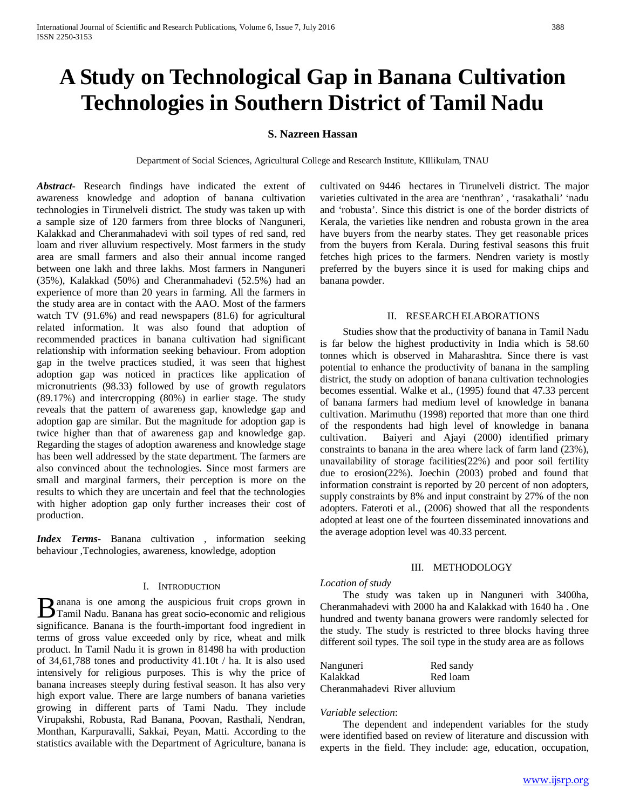# **A Study on Technological Gap in Banana Cultivation Technologies in Southern District of Tamil Nadu**

## **S. Nazreen Hassan**

Department of Social Sciences, Agricultural College and Research Institute, KIllikulam, TNAU

*Abstract***-** Research findings have indicated the extent of awareness knowledge and adoption of banana cultivation technologies in Tirunelveli district. The study was taken up with a sample size of 120 farmers from three blocks of Nanguneri, Kalakkad and Cheranmahadevi with soil types of red sand, red loam and river alluvium respectively. Most farmers in the study area are small farmers and also their annual income ranged between one lakh and three lakhs. Most farmers in Nanguneri (35%), Kalakkad (50%) and Cheranmahadevi (52.5%) had an experience of more than 20 years in farming. All the farmers in the study area are in contact with the AAO. Most of the farmers watch TV (91.6%) and read newspapers (81.6) for agricultural related information. It was also found that adoption of recommended practices in banana cultivation had significant relationship with information seeking behaviour. From adoption gap in the twelve practices studied, it was seen that highest adoption gap was noticed in practices like application of micronutrients (98.33) followed by use of growth regulators (89.17%) and intercropping (80%) in earlier stage. The study reveals that the pattern of awareness gap, knowledge gap and adoption gap are similar. But the magnitude for adoption gap is twice higher than that of awareness gap and knowledge gap. Regarding the stages of adoption awareness and knowledge stage has been well addressed by the state department. The farmers are also convinced about the technologies. Since most farmers are small and marginal farmers, their perception is more on the results to which they are uncertain and feel that the technologies with higher adoption gap only further increases their cost of production.

*Index Terms*- Banana cultivation , information seeking behaviour ,Technologies, awareness, knowledge, adoption

#### I. INTRODUCTION

anana is one among the auspicious fruit crops grown in B anana is one among the auspicious fruit crops grown in<br>Tamil Nadu. Banana has great socio-economic and religious significance. Banana is the fourth-important food ingredient in terms of gross value exceeded only by rice, wheat and milk product. In Tamil Nadu it is grown in 81498 ha with production of 34,61,788 tones and productivity 41.10t / ha. It is also used intensively for religious purposes. This is why the price of banana increases steeply during festival season. It has also very high export value. There are large numbers of banana varieties growing in different parts of Tami Nadu. They include Virupakshi, Robusta, Rad Banana, Poovan, Rasthali, Nendran, Monthan, Karpuravalli, Sakkai, Peyan, Matti. According to the statistics available with the Department of Agriculture, banana is

cultivated on 9446 hectares in Tirunelveli district. The major varieties cultivated in the area are 'nenthran' , 'rasakathali' 'nadu and 'robusta'. Since this district is one of the border districts of Kerala, the varieties like nendren and robusta grown in the area have buyers from the nearby states. They get reasonable prices from the buyers from Kerala. During festival seasons this fruit fetches high prices to the farmers. Nendren variety is mostly preferred by the buyers since it is used for making chips and banana powder.

#### II. RESEARCH ELABORATIONS

Studies show that the productivity of banana in Tamil Nadu is far below the highest productivity in India which is 58.60 tonnes which is observed in Maharashtra. Since there is vast potential to enhance the productivity of banana in the sampling district, the study on adoption of banana cultivation technologies becomes essential. Walke et al., (1995) found that 47.33 percent of banana farmers had medium level of knowledge in banana cultivation. Marimuthu (1998) reported that more than one third of the respondents had high level of knowledge in banana cultivation. Baiyeri and Ajayi (2000) identified primary constraints to banana in the area where lack of farm land (23%), unavailability of storage facilities(22%) and poor soil fertility due to erosion(22%). Joechin (2003) probed and found that information constraint is reported by 20 percent of non adopters, supply constraints by 8% and input constraint by 27% of the non adopters. Fateroti et al., (2006) showed that all the respondents adopted at least one of the fourteen disseminated innovations and the average adoption level was 40.33 percent.

#### III. METHODOLOGY

#### *Location of study*

The study was taken up in Nanguneri with 3400ha, Cheranmahadevi with 2000 ha and Kalakkad with 1640 ha . One hundred and twenty banana growers were randomly selected for the study. The study is restricted to three blocks having three different soil types. The soil type in the study area are as follows

| Nanguneri                     | Red sandy |
|-------------------------------|-----------|
| Kalakkad                      | Red loam  |
| Cheranmahadevi River alluvium |           |

#### *Variable selection*:

The dependent and independent variables for the study were identified based on review of literature and discussion with experts in the field. They include: age, education, occupation,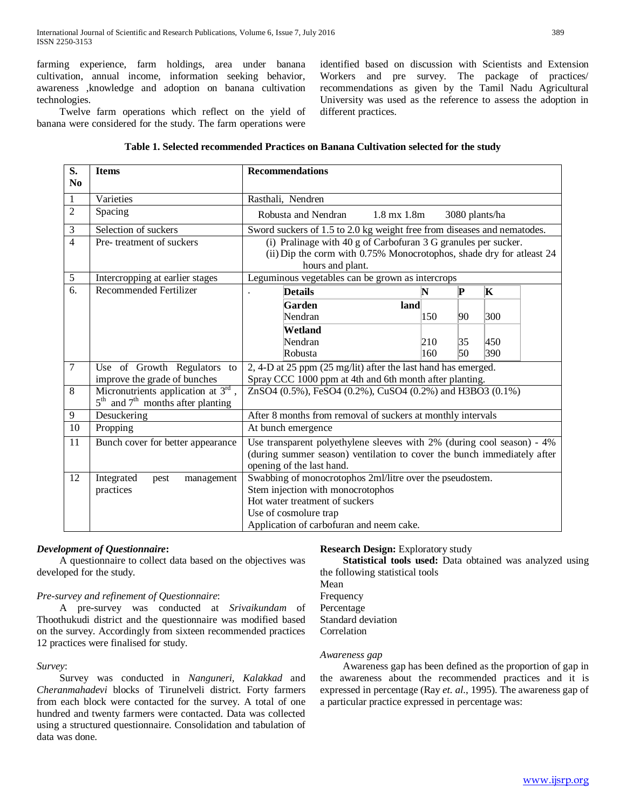farming experience, farm holdings, area under banana cultivation, annual income, information seeking behavior, awareness ,knowledge and adoption on banana cultivation technologies.

Twelve farm operations which reflect on the yield of

identified based on discussion with Scientists and Extension Workers and pre survey. The package of practices/ recommendations as given by the Tamil Nadu Agricultural University was used as the reference to assess the adoption in different practices.

|  |  |  |  | banana were considered for the study. The farm operations were |  |
|--|--|--|--|----------------------------------------------------------------|--|
|  |  |  |  |                                                                |  |

| <b>Items</b>                          | <b>Recommendations</b>                                                                                                                                                           |                                                                                                                                                                                  |                 |                                                                                                                                                                                                                                                                                                                                                                                 |  |  |  |  |  |
|---------------------------------------|----------------------------------------------------------------------------------------------------------------------------------------------------------------------------------|----------------------------------------------------------------------------------------------------------------------------------------------------------------------------------|-----------------|---------------------------------------------------------------------------------------------------------------------------------------------------------------------------------------------------------------------------------------------------------------------------------------------------------------------------------------------------------------------------------|--|--|--|--|--|
| Varieties                             | Rasthali, Nendren                                                                                                                                                                |                                                                                                                                                                                  |                 |                                                                                                                                                                                                                                                                                                                                                                                 |  |  |  |  |  |
| Spacing                               | 1.8 mx 1.8m<br>Robusta and Nendran<br>3080 plants/ha                                                                                                                             |                                                                                                                                                                                  |                 |                                                                                                                                                                                                                                                                                                                                                                                 |  |  |  |  |  |
| Selection of suckers                  |                                                                                                                                                                                  | Sword suckers of 1.5 to 2.0 kg weight free from diseases and nematodes.                                                                                                          |                 |                                                                                                                                                                                                                                                                                                                                                                                 |  |  |  |  |  |
|                                       | (i) Pralinage with 40 g of Carbofuran 3 G granules per sucker.<br>(ii) Dip the corm with 0.75% Monocrotophos, shade dry for atleast 24<br>hours and plant.                       |                                                                                                                                                                                  |                 |                                                                                                                                                                                                                                                                                                                                                                                 |  |  |  |  |  |
|                                       |                                                                                                                                                                                  |                                                                                                                                                                                  |                 |                                                                                                                                                                                                                                                                                                                                                                                 |  |  |  |  |  |
|                                       | <b>Details</b>                                                                                                                                                                   |                                                                                                                                                                                  |                 | K                                                                                                                                                                                                                                                                                                                                                                               |  |  |  |  |  |
|                                       | Garden<br>land<br>Nendran                                                                                                                                                        | 150                                                                                                                                                                              | 90              | 300                                                                                                                                                                                                                                                                                                                                                                             |  |  |  |  |  |
|                                       | Wetland                                                                                                                                                                          |                                                                                                                                                                                  |                 |                                                                                                                                                                                                                                                                                                                                                                                 |  |  |  |  |  |
|                                       | Nendran                                                                                                                                                                          |                                                                                                                                                                                  | 35              | 450                                                                                                                                                                                                                                                                                                                                                                             |  |  |  |  |  |
|                                       |                                                                                                                                                                                  |                                                                                                                                                                                  |                 | 390                                                                                                                                                                                                                                                                                                                                                                             |  |  |  |  |  |
| Use of Growth Regulators to           |                                                                                                                                                                                  |                                                                                                                                                                                  |                 |                                                                                                                                                                                                                                                                                                                                                                                 |  |  |  |  |  |
|                                       |                                                                                                                                                                                  |                                                                                                                                                                                  |                 |                                                                                                                                                                                                                                                                                                                                                                                 |  |  |  |  |  |
| $5th$ and $7th$ months after planting |                                                                                                                                                                                  |                                                                                                                                                                                  |                 |                                                                                                                                                                                                                                                                                                                                                                                 |  |  |  |  |  |
| Desuckering                           |                                                                                                                                                                                  |                                                                                                                                                                                  |                 |                                                                                                                                                                                                                                                                                                                                                                                 |  |  |  |  |  |
| Propping                              | At bunch emergence                                                                                                                                                               |                                                                                                                                                                                  |                 |                                                                                                                                                                                                                                                                                                                                                                                 |  |  |  |  |  |
| Bunch cover for better appearance     | Use transparent polyethylene sleeves with 2% (during cool season) - 4%<br>(during summer season) ventilation to cover the bunch immediately after                                |                                                                                                                                                                                  |                 |                                                                                                                                                                                                                                                                                                                                                                                 |  |  |  |  |  |
| Integrated<br>management<br>pest      |                                                                                                                                                                                  |                                                                                                                                                                                  |                 |                                                                                                                                                                                                                                                                                                                                                                                 |  |  |  |  |  |
|                                       |                                                                                                                                                                                  |                                                                                                                                                                                  |                 |                                                                                                                                                                                                                                                                                                                                                                                 |  |  |  |  |  |
|                                       |                                                                                                                                                                                  |                                                                                                                                                                                  |                 |                                                                                                                                                                                                                                                                                                                                                                                 |  |  |  |  |  |
|                                       |                                                                                                                                                                                  |                                                                                                                                                                                  |                 |                                                                                                                                                                                                                                                                                                                                                                                 |  |  |  |  |  |
|                                       | Pre- treatment of suckers<br>Intercropping at earlier stages<br><b>Recommended Fertilizer</b><br>improve the grade of bunches<br>Micronutrients application at 3rd,<br>practices | Robusta<br>opening of the last hand.<br>Stem injection with monocrotophos<br>Hot water treatment of suckers<br>Use of cosmolure trap<br>Application of carbofuran and neem cake. | N<br>210<br>160 | Leguminous vegetables can be grown as intercrops<br>P<br>50<br>2, 4-D at 25 ppm (25 mg/lit) after the last hand has emerged.<br>Spray CCC 1000 ppm at 4th and 6th month after planting.<br>ZnSO4 (0.5%), FeSO4 (0.2%), CuSO4 (0.2%) and H3BO3 (0.1%)<br>After 8 months from removal of suckers at monthly intervals<br>Swabbing of monocrotophos 2ml/litre over the pseudostem. |  |  |  |  |  |

## **Table 1. Selected recommended Practices on Banana Cultivation selected for the study**

## *Development of Questionnaire***:**

A questionnaire to collect data based on the objectives was developed for the study.

## *Pre-survey and refinement of Questionnaire*:

A pre-survey was conducted at *Srivaikundam* of Thoothukudi district and the questionnaire was modified based on the survey. Accordingly from sixteen recommended practices 12 practices were finalised for study.

## *Survey*:

Survey was conducted in *Nanguneri, Kalakkad* and *Cheranmahadevi* blocks of Tirunelveli district. Forty farmers from each block were contacted for the survey. A total of one hundred and twenty farmers were contacted. Data was collected using a structured questionnaire. Consolidation and tabulation of data was done.

## **Research Design:** Exploratory study

 **Statistical tools used:** Data obtained was analyzed using the following statistical tools Mean Frequency Percentage Standard deviation Correlation

#### *Awareness gap*

Awareness gap has been defined as the proportion of gap in the awareness about the recommended practices and it is expressed in percentage (Ray *et. al.*, 1995). The awareness gap of a particular practice expressed in percentage was: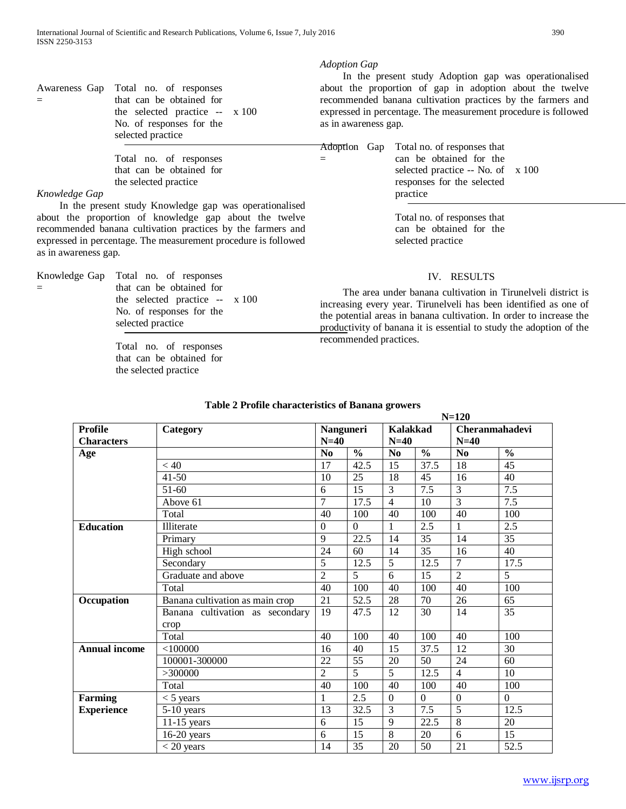Awareness Gap = Total no. of responses that can be obtained for the selected practice -- No. of responses for the selected practice x 100

> Total no. of responses that can be obtained for the selected practice

#### *Knowledge Gap*

In the present study Knowledge gap was operationalised about the proportion of knowledge gap about the twelve recommended banana cultivation practices by the farmers and expressed in percentage. The measurement procedure is followed as in awareness gap.

Knowledge Gap = Total no. of responses that can be obtained for the selected practice -- No. of responses for the selected practice x 100

> Total no. of responses that can be obtained for the selected practice

=

In the present study Adoption gap was operationalised about the proportion of gap in adoption about the twelve recommended banana cultivation practices by the farmers and expressed in percentage. The measurement procedure is followed as in awareness gap.

Adoption Gap Total no. of responses that can be obtained for the selected practice -- No. of x 100 responses for the selected practice

> Total no. of responses that can be obtained for the selected practice

## IV. RESULTS

The area under banana cultivation in Tirunelveli district is increasing every year. Tirunelveli has been identified as one of the potential areas in banana cultivation. In order to increase the productivity of banana it is essential to study the adoption of the recommended practices.

**N=120**

| <b>Profile</b>       | Category                        | Nanguneri        |                 | <b>Kalakkad</b>  |               | $1$ V $-120$    | Cheranmahadevi |  |
|----------------------|---------------------------------|------------------|-----------------|------------------|---------------|-----------------|----------------|--|
| <b>Characters</b>    |                                 | $N=40$<br>$N=40$ |                 |                  |               | $N=40$          |                |  |
| Age                  |                                 | N <sub>0</sub>   | $\frac{0}{0}$   | N <sub>0</sub>   | $\frac{0}{0}$ | No              | $\frac{0}{0}$  |  |
|                      | < 40                            | 17               | 42.5            | 15               | 37.5          | 18              | 45             |  |
|                      | $41 - 50$                       | 10               | 25              | 18               | 45            | 16              | 40             |  |
|                      | 51-60                           | 6                | 15              | 3                | 7.5           | 3               | 7.5            |  |
|                      | Above 61                        | $\overline{7}$   | 17.5            | $\overline{4}$   | 10            | $\overline{3}$  | 7.5            |  |
|                      | Total                           | 40               | 100             | 40               | 100           | 40              | 100            |  |
| <b>Education</b>     | Illiterate                      | $\mathbf{0}$     | $\mathbf{0}$    | 1                | 2.5           | 1               | 2.5            |  |
|                      | Primary                         | 9                | 22.5            | 14               | 35            | 14              | 35             |  |
|                      | High school                     | 24               | 60              | 14               | 35            | 16              | 40             |  |
|                      | Secondary                       | 5                | 12.5            | 5                | 12.5          | 7               | 17.5           |  |
|                      | Graduate and above              | $\overline{2}$   | 5               | 6                | 15            | $\overline{2}$  | 5              |  |
|                      | Total                           | 40               | 100             | 40               | 100           | 40              | 100            |  |
| Occupation           | Banana cultivation as main crop | 21               | 52.5            | 28               | 70            | 26              | 65             |  |
|                      | Banana cultivation as secondary | 19               | 47.5            | 12               | 30            | 14              | 35             |  |
|                      | crop                            |                  |                 |                  |               |                 |                |  |
|                      | Total                           | 40               | 100             | 40               | 100           | 40              | 100            |  |
| <b>Annual income</b> | $<$ 100000                      | 16               | 40              | 15               | 37.5          | 12              | 30             |  |
|                      | 100001-300000                   | 22               | $\overline{55}$ | 20               | 50            | $\overline{24}$ | 60             |  |
|                      | >300000                         | $\overline{2}$   | 5               | 5                | 12.5          | $\overline{4}$  | 10             |  |
|                      | Total                           | 40               | 100             | 40               | 100           | 40              | 100            |  |
| <b>Farming</b>       | $<$ 5 years                     | 1                | 2.5             | $\boldsymbol{0}$ | $\mathbf{0}$  | $\mathbf{0}$    | $\overline{0}$ |  |
| <b>Experience</b>    | $5-10$ years                    | 13               | 32.5            | 3                | 7.5           | 5               | 12.5           |  |
|                      | $11-15$ years                   | 6                | 15              | 9                | 22.5          | $\overline{8}$  | 20             |  |
|                      | $\overline{16}$ -20 years       | 6                | 15              | $\overline{8}$   | 20            | 6               | 15             |  |
|                      | $<$ 20 years                    | 14               | 35              | 20               | 50            | 21              | 52.5           |  |

## **Table 2 Profile characteristics of Banana growers**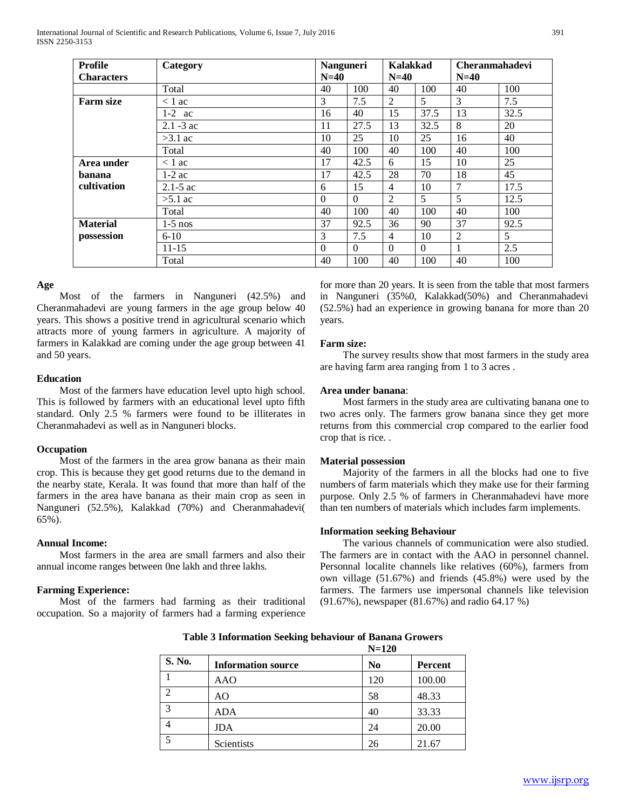**Age** Most of the farmers in Nanguneri (42.5%) and Cheranmahadevi are young farmers in the age group below 40 years. This shows a positive trend in agricultural scenario which attracts more of young farmers in agriculture. A majority of farmers in Kalakkad are coming under the age group between 41 and 50 years.

#### **Education**

Most of the farmers have education level upto high school. This is followed by farmers with an educational level upto fifth standard. Only 2.5 % farmers were found to be illiterates in Cheranmahadevi as well as in Nanguneri blocks.

## **Occupation**

Most of the farmers in the area grow banana as their main crop. This is because they get good returns due to the demand in the nearby state, Kerala. It was found that more than half of the farmers in the area have banana as their main crop as seen in Nanguneri (52.5%), Kalakkad (70%) and Cheranmahadevi( 65%).

## **Annual Income:**

Most farmers in the area are small farmers and also their annual income ranges between 0ne lakh and three lakhs.

## **Farming Experience:**

Most of the farmers had farming as their traditional occupation. So a majority of farmers had a farming experience for more than 20 years. It is seen from the table that most farmers in Nanguneri (35%0, Kalakkad(50%) and Cheranmahadevi (52.5%) had an experience in growing banana for more than 20 years.

## **Farm size:**

The survey results show that most farmers in the study area are having farm area ranging from 1 to 3 acres .

## **Area under banana**:

Most farmers in the study area are cultivating banana one to two acres only. The farmers grow banana since they get more returns from this commercial crop compared to the earlier food crop that is rice. .

## **Material possession**

Majority of the farmers in all the blocks had one to five numbers of farm materials which they make use for their farming purpose. Only 2.5 % of farmers in Cheranmahadevi have more than ten numbers of materials which includes farm implements.

## **Information seeking Behaviour**

The various channels of communication were also studied. The farmers are in contact with the AAO in personnel channel. Personnal localite channels like relatives (60%), farmers from own village (51.67%) and friends (45.8%) were used by the farmers. The farmers use impersonal channels like television (91.67%), newspaper (81.67%) and radio 64.17 %)

| International Journal of Scientific and Research Publications, Volume 6, Issue 7, July 2016 | 391 |
|---------------------------------------------------------------------------------------------|-----|
| <b>ISSN 2250-3153</b>                                                                       |     |

| Profile           | Category     | <b>Nanguneri</b> |          | Kalakkad |          | <b>Cheranmahadevi</b><br>$N=40$ |      |  |
|-------------------|--------------|------------------|----------|----------|----------|---------------------------------|------|--|
| <b>Characters</b> |              | $N=40$           |          | $N=40$   |          |                                 |      |  |
|                   | Total        | 40               | 100      | 40       | 100      | 40                              | 100  |  |
| <b>Farm size</b>  | $< 1$ ac     | 3                | 7.5      | 2        | 5        | 3                               | 7.5  |  |
|                   | $1-2$ ac     | 16               | 40       | 15       | 37.5     | 13                              | 32.5 |  |
|                   | $2.1 - 3$ ac | 11               | 27.5     | 13       | 32.5     | 8                               | 20   |  |
|                   | $>3.1$ ac    | 10               | 25       | 10       | 25       | 16                              | 40   |  |
|                   | Total        | 40               | 100      | 40       | 100      | 40                              | 100  |  |
| Area under        | $< 1$ ac     | 17               | 42.5     | 6        | 15       | 10                              | 25   |  |
| banana            | $1-2$ ac     | 17               | 42.5     | 28       | 70       | 18                              | 45   |  |
| cultivation       | $2.1 - 5$ ac | 6                | 15       | 4        | 10       | $\overline{7}$                  | 17.5 |  |
|                   | $>5.1$ ac    | $\theta$         | $\Omega$ | 2        | 5        | 5                               | 12.5 |  |
|                   | Total        | 40               | 100      | 40       | 100      | 40                              | 100  |  |
| <b>Material</b>   | $1-5$ nos    | 37               | 92.5     | 36       | 90       | 37                              | 92.5 |  |
| possession        | $6 - 10$     | 3                | 7.5      | 4        | 10       | 2                               | 5    |  |
|                   | $11 - 15$    | $\Omega$         | $\Omega$ | $\Omega$ | $\Omega$ | 1                               | 2.5  |  |
|                   | Total        | 40               | 100      | 40       | 100      | 40                              | 100  |  |
|                   |              |                  |          |          |          |                                 |      |  |

|                |                           | $N = 120$      |         |
|----------------|---------------------------|----------------|---------|
| S. No.         | <b>Information source</b> | N <sub>0</sub> | Percent |
|                | <b>AAO</b>                | 120            | 100.00  |
| っ              | AO                        | 58             | 48.33   |
| 3              | <b>ADA</b>                | 40             | 33.33   |
| $\overline{4}$ | <b>JDA</b>                | 24             | 20.00   |
| 5              | Scientists                | 26             | 21.67   |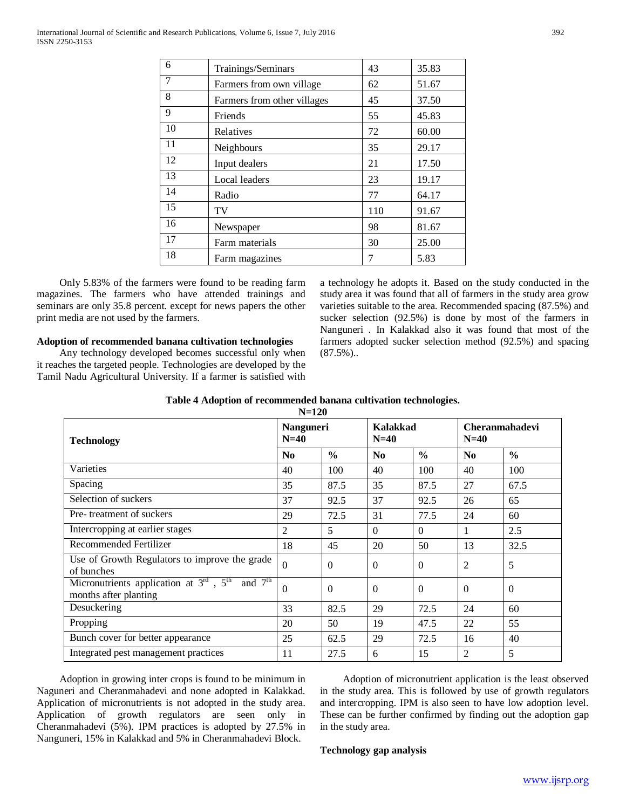| 6  | Trainings/Seminars          | 43  | 35.83 |
|----|-----------------------------|-----|-------|
| 7  | Farmers from own village    | 62  | 51.67 |
| 8  | Farmers from other villages | 45  | 37.50 |
| 9  | Friends                     | 55  | 45.83 |
| 10 | Relatives                   | 72  | 60.00 |
| 11 | Neighbours                  | 35  | 29.17 |
| 12 | Input dealers               | 21  | 17.50 |
| 13 | Local leaders               | 23  | 19.17 |
| 14 | Radio                       | 77  | 64.17 |
| 15 | TV                          | 110 | 91.67 |
| 16 | Newspaper                   | 98  | 81.67 |
| 17 | Farm materials              | 30  | 25.00 |
| 18 | Farm magazines              | 7   | 5.83  |

Only 5.83% of the farmers were found to be reading farm magazines. The farmers who have attended trainings and seminars are only 35.8 percent. except for news papers the other print media are not used by the farmers.

#### **Adoption of recommended banana cultivation technologies**

Any technology developed becomes successful only when it reaches the targeted people. Technologies are developed by the Tamil Nadu Agricultural University. If a farmer is satisfied with a technology he adopts it. Based on the study conducted in the study area it was found that all of farmers in the study area grow varieties suitable to the area. Recommended spacing (87.5%) and sucker selection (92.5%) is done by most of the farmers in Nanguneri . In Kalakkad also it was found that most of the farmers adopted sucker selection method (92.5%) and spacing  $(87.5\%)$ ..

| Table 4 Adoption of recommended banana cultivation technologies. |  |
|------------------------------------------------------------------|--|
|                                                                  |  |

| $N=120$                                                                           |                     |               |                    |               |                                 |                |  |  |  |
|-----------------------------------------------------------------------------------|---------------------|---------------|--------------------|---------------|---------------------------------|----------------|--|--|--|
| <b>Technology</b>                                                                 | Nanguneri<br>$N=40$ |               | Kalakkad<br>$N=40$ |               | <b>Cheranmahadevi</b><br>$N=40$ |                |  |  |  |
|                                                                                   | N <sub>0</sub>      | $\frac{0}{0}$ | No                 | $\frac{6}{6}$ | N <sub>0</sub>                  | $\frac{0}{0}$  |  |  |  |
| Varieties                                                                         | 40                  | 100           | 40                 | 100           | 40                              | 100            |  |  |  |
| Spacing                                                                           | 35                  | 87.5          | 35                 | 87.5          | 27                              | 67.5           |  |  |  |
| Selection of suckers                                                              | 37                  | 92.5          | 37                 | 92.5          | 26                              | 65             |  |  |  |
| Pre-treatment of suckers                                                          | 29                  | 72.5          | 31                 | 77.5          | 24                              | 60             |  |  |  |
| Intercropping at earlier stages                                                   | 2                   | 5             | $\Omega$           | $\theta$      | 1                               | 2.5            |  |  |  |
| Recommended Fertilizer                                                            | 18                  | 45            | 20                 | 50            | 13                              | 32.5           |  |  |  |
| Use of Growth Regulators to improve the grade<br>of bunches                       | $\Omega$            | $\Omega$      | $\Omega$           | $\Omega$      | $\overline{2}$                  | 5              |  |  |  |
| Micronutrients application at $3rd$ , $5th$<br>and $7th$<br>months after planting | $\overline{0}$      | $\Omega$      | $\Omega$           | $\Omega$      | $\Omega$                        | $\overline{0}$ |  |  |  |
| Desuckering                                                                       | 33                  | 82.5          | 29                 | 72.5          | 24                              | 60             |  |  |  |
| Propping                                                                          | 20                  | 50            | 19                 | 47.5          | 22                              | 55             |  |  |  |
| Bunch cover for better appearance                                                 | 25                  | 62.5          | 29                 | 72.5          | 16                              | 40             |  |  |  |
| Integrated pest management practices                                              | 11                  | 27.5          | 6                  | 15            | $\overline{2}$                  | 5              |  |  |  |

Adoption in growing inter crops is found to be minimum in Naguneri and Cheranmahadevi and none adopted in Kalakkad. Application of micronutrients is not adopted in the study area. Application of growth regulators are seen only in Cheranmahadevi (5%). IPM practices is adopted by 27.5% in Nanguneri, 15% in Kalakkad and 5% in Cheranmahadevi Block.

Adoption of micronutrient application is the least observed in the study area. This is followed by use of growth regulators and intercropping. IPM is also seen to have low adoption level. These can be further confirmed by finding out the adoption gap in the study area.

## **Technology gap analysis**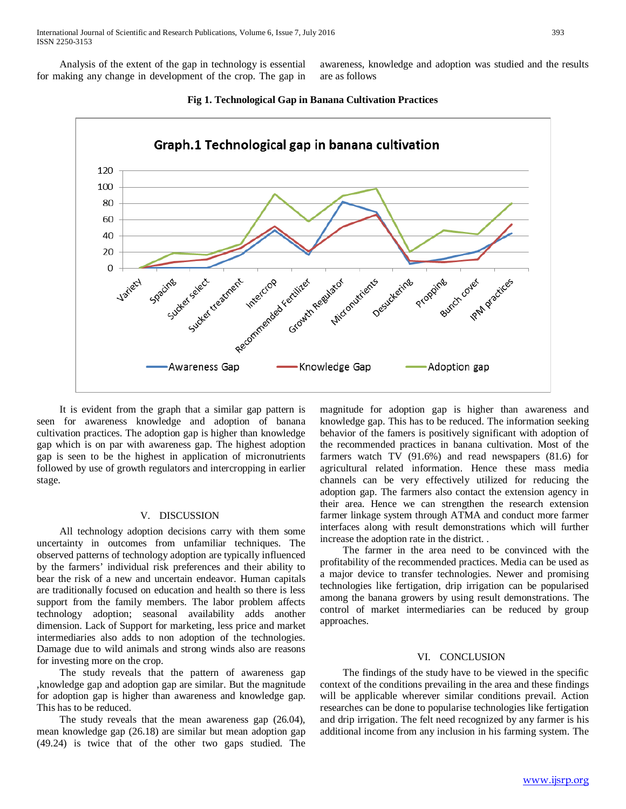Analysis of the extent of the gap in technology is essential for making any change in development of the crop. The gap in

awareness, knowledge and adoption was studied and the results are as follows



#### **Fig 1. Technological Gap in Banana Cultivation Practices**

It is evident from the graph that a similar gap pattern is seen for awareness knowledge and adoption of banana cultivation practices. The adoption gap is higher than knowledge gap which is on par with awareness gap. The highest adoption gap is seen to be the highest in application of micronutrients followed by use of growth regulators and intercropping in earlier stage.

#### V. DISCUSSION

All technology adoption decisions carry with them some uncertainty in outcomes from unfamiliar techniques. The observed patterns of technology adoption are typically influenced by the farmers' individual risk preferences and their ability to bear the risk of a new and uncertain endeavor. Human capitals are traditionally focused on education and health so there is less support from the family members. The labor problem affects technology adoption; seasonal availability adds another dimension. Lack of Support for marketing, less price and market intermediaries also adds to non adoption of the technologies. Damage due to wild animals and strong winds also are reasons for investing more on the crop.

The study reveals that the pattern of awareness gap ,knowledge gap and adoption gap are similar. But the magnitude for adoption gap is higher than awareness and knowledge gap. This has to be reduced.

The study reveals that the mean awareness gap  $(26.04)$ , mean knowledge gap (26.18) are similar but mean adoption gap (49.24) is twice that of the other two gaps studied. The magnitude for adoption gap is higher than awareness and knowledge gap. This has to be reduced. The information seeking behavior of the famers is positively significant with adoption of the recommended practices in banana cultivation. Most of the farmers watch TV (91.6%) and read newspapers (81.6) for agricultural related information. Hence these mass media channels can be very effectively utilized for reducing the adoption gap. The farmers also contact the extension agency in their area. Hence we can strengthen the research extension farmer linkage system through ATMA and conduct more farmer interfaces along with result demonstrations which will further increase the adoption rate in the district. .

The farmer in the area need to be convinced with the profitability of the recommended practices. Media can be used as a major device to transfer technologies. Newer and promising technologies like fertigation, drip irrigation can be popularised among the banana growers by using result demonstrations. The control of market intermediaries can be reduced by group approaches.

#### VI. CONCLUSION

The findings of the study have to be viewed in the specific context of the conditions prevailing in the area and these findings will be applicable wherever similar conditions prevail. Action researches can be done to popularise technologies like fertigation and drip irrigation. The felt need recognized by any farmer is his additional income from any inclusion in his farming system. The